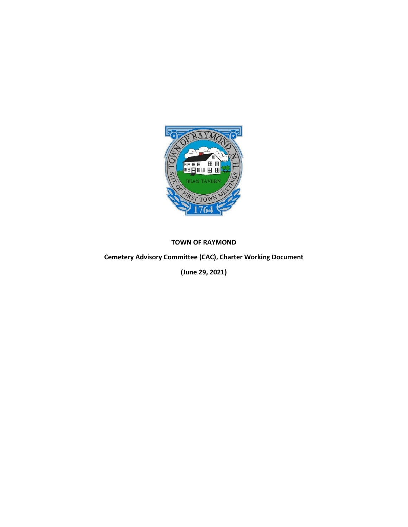

## **TOWN OF RAYMOND**

**Cemetery Advisory Committee (CAC), Charter Working Document** 

**(June 29, 2021)**